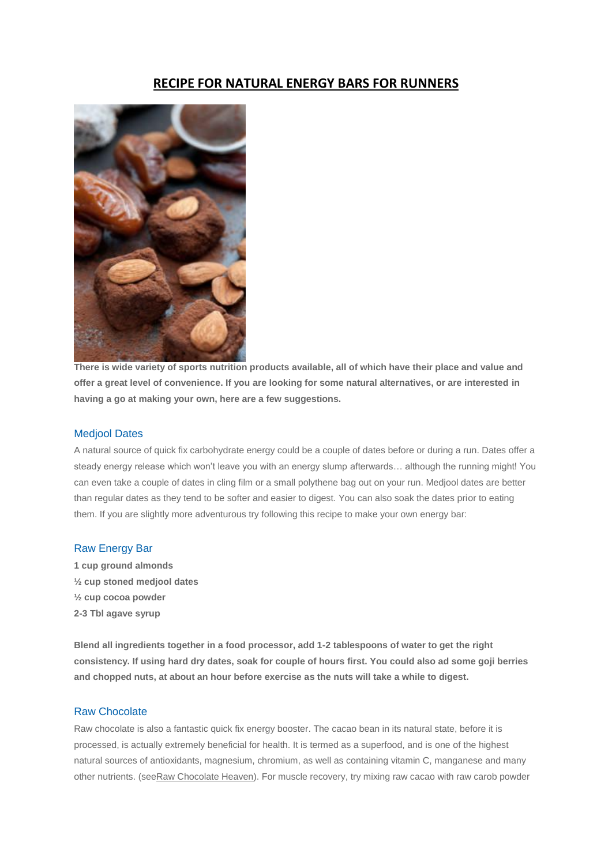## **RECIPE FOR NATURAL ENERGY BARS FOR RUNNERS**



**There is wide variety of sports nutrition products available, all of which have their place and value and offer a great level of convenience. If you are looking for some natural alternatives, or are interested in having a go at making your own, here are a few suggestions.**

## Medjool Dates

A natural source of quick fix carbohydrate energy could be a couple of dates before or during a run. Dates offer a steady energy release which won't leave you with an energy slump afterwards… although the running might! You can even take a couple of dates in cling film or a small polythene bag out on your run. Medjool dates are better than regular dates as they tend to be softer and easier to digest. You can also soak the dates prior to eating them. If you are slightly more adventurous try following this recipe to make your own energy bar:

## Raw Energy Bar

**1 cup ground almonds ½ cup stoned medjool dates ½ cup cocoa powder 2-3 Tbl agave syrup**

**Blend all ingredients together in a food processor, add 1-2 tablespoons of water to get the right consistency. If using hard dry dates, soak for couple of hours first. You could also ad some goji berries and chopped nuts, at about an hour before exercise as the nuts will take a while to digest.**

## Raw Chocolate

Raw chocolate is also a fantastic quick fix energy booster. The cacao bean in its natural state, before it is processed, is actually extremely beneficial for health. It is termed as a superfood, and is one of the highest natural sources of antioxidants, magnesium, chromium, as well as containing vitamin C, manganese and many other nutrients. (se[eRaw Chocolate Heaven\)](http://run.runandbecome.com/running-health-advice/nutrition/recipes-for-runners/recipes-for-runners-raw-chocolate-heaven/). For muscle recovery, try mixing raw cacao with raw carob powder